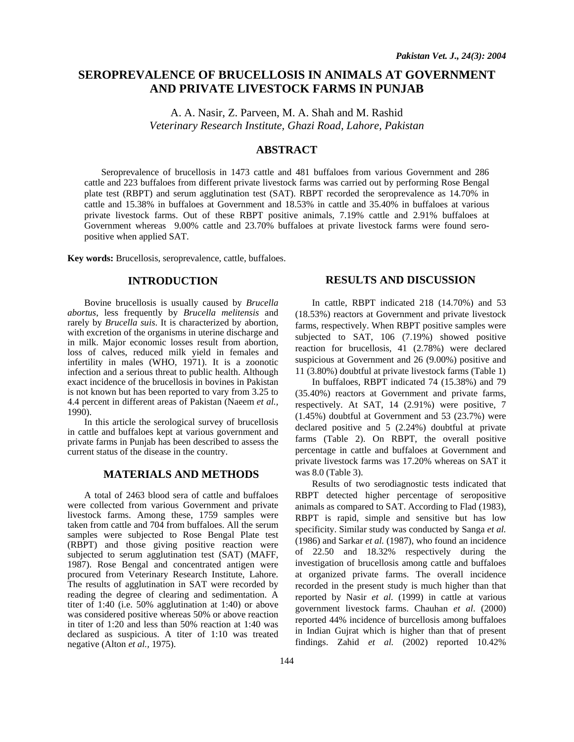# **SEROPREVALENCE OF BRUCELLOSIS IN ANIMALS AT GOVERNMENT AND PRIVATE LIVESTOCK FARMS IN PUNJAB**

A. A. Nasir, Z. Parveen, M. A. Shah and M. Rashid *Veterinary Research Institute, Ghazi Road, Lahore, Pakistan* 

## **ABSTRACT**

Seroprevalence of brucellosis in 1473 cattle and 481 buffaloes from various Government and 286 cattle and 223 buffaloes from different private livestock farms was carried out by performing Rose Bengal plate test (RBPT) and serum agglutination test (SAT). RBPT recorded the seroprevalence as 14.70% in cattle and 15.38% in buffaloes at Government and 18.53% in cattle and 35.40% in buffaloes at various private livestock farms. Out of these RBPT positive animals, 7.19% cattle and 2.91% buffaloes at Government whereas 9.00% cattle and 23.70% buffaloes at private livestock farms were found seropositive when applied SAT.

**Key words:** Brucellosis, seroprevalence, cattle, buffaloes.

## **INTRODUCTION**

Bovine brucellosis is usually caused by *Brucella abortus*, less frequently by *Brucella melitensis* and rarely by *Brucella suis*. It is characterized by abortion, with excretion of the organisms in uterine discharge and in milk. Major economic losses result from abortion, loss of calves, reduced milk yield in females and infertility in males (WHO, 1971). It is a zoonotic infection and a serious threat to public health. Although exact incidence of the brucellosis in bovines in Pakistan is not known but has been reported to vary from 3.25 to 4.4 percent in different areas of Pakistan (Naeem *et al.,*  1990).

In this article the serological survey of brucellosis in cattle and buffaloes kept at various government and private farms in Punjab has been described to assess the current status of the disease in the country.

#### **MATERIALS AND METHODS**

A total of 2463 blood sera of cattle and buffaloes were collected from various Government and private livestock farms. Among these, 1759 samples were taken from cattle and 704 from buffaloes. All the serum samples were subjected to Rose Bengal Plate test (RBPT) and those giving positive reaction were subjected to serum agglutination test (SAT) (MAFF, 1987). Rose Bengal and concentrated antigen were procured from Veterinary Research Institute, Lahore. The results of agglutination in SAT were recorded by reading the degree of clearing and sedimentation. A titer of 1:40 (i.e. 50% agglutination at 1:40) or above was considered positive whereas 50% or above reaction in titer of 1:20 and less than 50% reaction at 1:40 was declared as suspicious. A titer of 1:10 was treated negative (Alton *et al.,* 1975).

#### **RESULTS AND DISCUSSION**

In cattle, RBPT indicated 218 (14.70%) and 53 (18.53%) reactors at Government and private livestock farms, respectively. When RBPT positive samples were subjected to SAT, 106 (7.19%) showed positive reaction for brucellosis, 41 (2.78%) were declared suspicious at Government and 26 (9.00%) positive and 11 (3.80%) doubtful at private livestock farms (Table 1)

In buffaloes, RBPT indicated 74 (15.38%) and 79 (35.40%) reactors at Government and private farms, respectively. At SAT, 14 (2.91%) were positive, 7 (1.45%) doubtful at Government and 53 (23.7%) were declared positive and 5 (2.24%) doubtful at private farms (Table 2). On RBPT, the overall positive percentage in cattle and buffaloes at Government and private livestock farms was 17.20% whereas on SAT it was 8.0 (Table 3).

Results of two serodiagnostic tests indicated that RBPT detected higher percentage of seropositive animals as compared to SAT. According to Flad (1983), RBPT is rapid, simple and sensitive but has low specificity. Similar study was conducted by Sanga *et al.* (1986) and Sarkar *et al.* (1987), who found an incidence of 22.50 and 18.32% respectively during the investigation of brucellosis among cattle and buffaloes at organized private farms. The overall incidence recorded in the present study is much higher than that reported by Nasir *et al*. (1999) in cattle at various government livestock farms. Chauhan *et al*. (2000) reported 44% incidence of burcellosis among buffaloes in Indian Gujrat which is higher than that of present findings. Zahid *et al.* (2002) reported 10.42%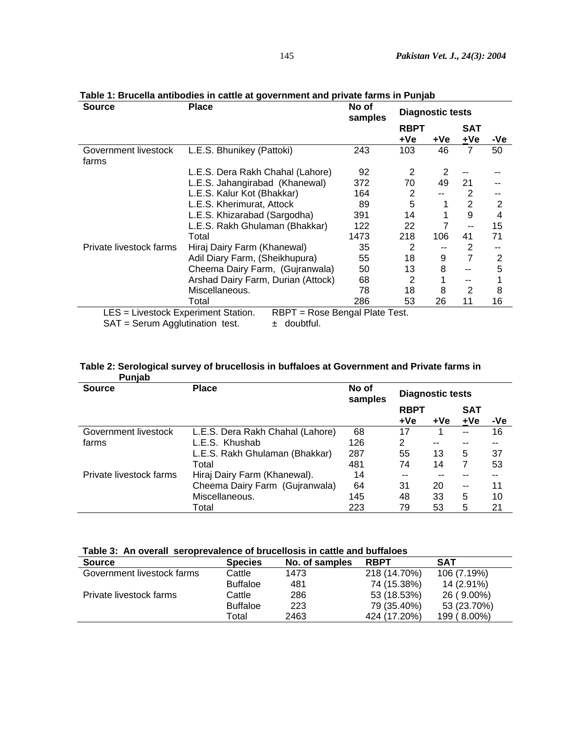| <b>Source</b>                                                          | <b>Place</b>                                    | No of<br>samples | <b>Diagnostic tests</b> |     |                     |     |
|------------------------------------------------------------------------|-------------------------------------------------|------------------|-------------------------|-----|---------------------|-----|
|                                                                        |                                                 |                  | <b>RBPT</b><br>+Ve      | +Ve | <b>SAT</b><br>$+Ve$ | -Ve |
| Government livestock<br>farms                                          | L.E.S. Bhunikey (Pattoki)                       | 243              | 103                     | 46  | $\overline{7}$      | 50  |
|                                                                        | L.E.S. Dera Rakh Chahal (Lahore)                | 92               | 2                       | 2   |                     |     |
|                                                                        | L.E.S. Jahangirabad (Khanewal)                  | 372              | 70                      | 49  | 21                  |     |
|                                                                        | L.E.S. Kalur Kot (Bhakkar)                      | 164              | 2                       |     | 2                   |     |
|                                                                        | L.E.S. Kherimurat, Attock                       | 89               | 5                       |     | $\overline{2}$      | 2   |
|                                                                        | L.E.S. Khizarabad (Sargodha)                    | 391              | 14                      |     | 9                   | 4   |
|                                                                        | L.E.S. Rakh Ghulaman (Bhakkar)                  | 122              | 22                      |     |                     | 15  |
|                                                                        | Total                                           | 1473             | 218                     | 106 | 41                  | 71  |
| Private livestock farms                                                | Hiraj Dairy Farm (Khanewal)                     | 35               | 2                       |     | 2                   | --  |
|                                                                        | Adil Diary Farm, (Sheikhupura)                  | 55               | 18                      | 9   | $\overline{7}$      | 2   |
|                                                                        | Cheema Dairy Farm, (Gujranwala)                 | 50               | 13                      | 8   | $-$                 | 5   |
|                                                                        | Arshad Dairy Farm, Durian (Attock)              | 68               | 2                       |     | --                  |     |
|                                                                        | Miscellaneous.                                  | 78               | 18                      | 8   | 2                   | 8   |
|                                                                        | Total                                           | 286              | 53                      | 26  | 11                  | 16  |
| LES = Livestock Experiment Station.<br>SAT = Serum Agglutination test. | RBPT = Rose Bengal Plate Test.<br>$±$ doubtful. |                  |                         |     |                     |     |

# **Table 1: Brucella antibodies in cattle at government and private farms in Punjab**

## **Table 2: Serological survey of brucellosis in buffaloes at Government and Private farms in Punjab**

| <b>Source</b>           | <b>Place</b>                     | No of<br>samples | <b>Diagnostic tests</b> |       |                          |     |
|-------------------------|----------------------------------|------------------|-------------------------|-------|--------------------------|-----|
|                         |                                  |                  | <b>RBPT</b><br>+Ve      | $+Ve$ | <b>SAT</b><br>+Ve        | -Ve |
|                         |                                  |                  |                         |       |                          |     |
| Government livestock    | L.E.S. Dera Rakh Chahal (Lahore) | 68               | 17                      |       | $-$                      | 16  |
| farms                   | L.E.S. Khushab                   | 126              | 2                       | --    | --                       | --  |
|                         | L.E.S. Rakh Ghulaman (Bhakkar)   | 287              | 55                      | 13    | 5                        | 37  |
|                         | Total                            | 481              | 74                      | 14    | 7                        | 53  |
| Private livestock farms | Hiraj Dairy Farm (Khanewal).     | 14               | --                      |       |                          |     |
|                         | Cheema Dairy Farm (Gujranwala)   | 64               | 31                      | 20    | $\overline{\phantom{a}}$ | 11  |
|                         | Miscellaneous.                   | 145              | 48                      | 33    | 5                        | 10  |
|                         | Total                            | 223              | 79                      | 53    | 5                        | 21  |

| Table 3: An overall seroprevalence of brucellosis in cattle and buffaloes |  |  |
|---------------------------------------------------------------------------|--|--|
|---------------------------------------------------------------------------|--|--|

| <b>Source</b>              | <b>Species</b>  | No. of samples | <b>RBPT</b>  | <b>SAT</b>  |
|----------------------------|-----------------|----------------|--------------|-------------|
| Government livestock farms | Cattle          | 1473           | 218 (14.70%) | 106 (7.19%) |
|                            | <b>Buffaloe</b> | 481            | 74 (15.38%)  | 14 (2.91%)  |
| Private livestock farms    | Cattle          | 286            | 53 (18.53%)  | 26 (9.00%)  |
|                            | <b>Buffaloe</b> | 223            | 79 (35.40%)  | 53 (23.70%) |
|                            | Total           | 2463           | 424 (17.20%) | 199 (8.00%) |